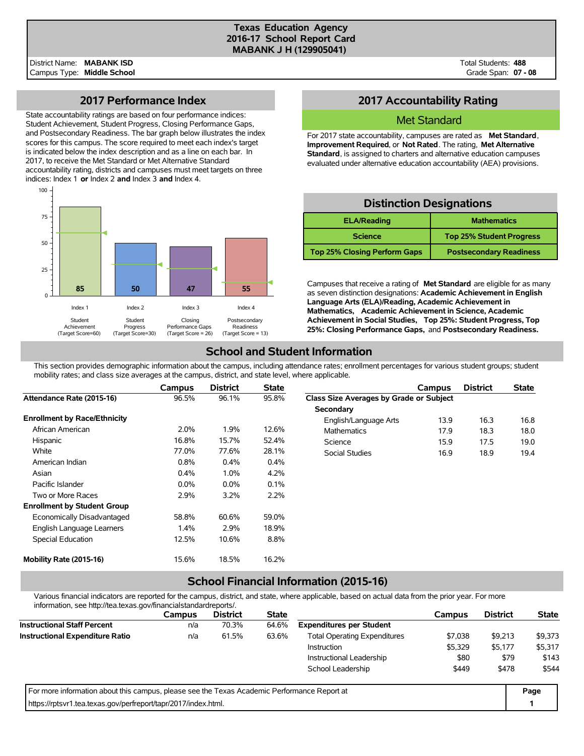#### **Texas Education Agency 2016-17 School Report Card MABANK J H (129905041)**

Total Students: **488** Grade Span: **07 - 08**

## **2017 Performance Index**

State accountability ratings are based on four performance indices: Student Achievement, Student Progress, Closing Performance Gaps, and Postsecondary Readiness. The bar graph below illustrates the index scores for this campus. The score required to meet each index's target is indicated below the index description and as a line on each bar. In 2017, to receive the Met Standard or Met Alternative Standard accountability rating, districts and campuses must meet targets on three indices: Index 1 **or** Index 2 **and** Index 3 **and** Index 4.



## **2017 Accountability Rating**

### Met Standard

For 2017 state accountability, campuses are rated as **Met Standard**, **Improvement Required**, or **Not Rated**. The rating, **Met Alternative Standard**, is assigned to charters and alternative education campuses evaluated under alternative education accountability (AEA) provisions.

## **Distinction Designations**

| <b>ELA/Reading</b>                  | <b>Mathematics</b>              |
|-------------------------------------|---------------------------------|
| <b>Science</b>                      | <b>Top 25% Student Progress</b> |
| <b>Top 25% Closing Perform Gaps</b> | <b>Postsecondary Readiness</b>  |

Campuses that receive a rating of **Met Standard** are eligible for as many as seven distinction designations: **Academic Achievement in English Language Arts (ELA)/Reading, Academic Achievement in Mathematics, Academic Achievement in Science, Academic Achievement in Social Studies, Top 25%: Student Progress, Top 25%: Closing Performance Gaps,** and **Postsecondary Readiness.**

## **School and Student Information**

This section provides demographic information about the campus, including attendance rates; enrollment percentages for various student groups; student mobility rates; and class size averages at the campus, district, and state level, where applicable.

|                                     | Campus  | <b>District</b> | <b>State</b> |                                         | Campus | <b>District</b> | <b>State</b> |
|-------------------------------------|---------|-----------------|--------------|-----------------------------------------|--------|-----------------|--------------|
| Attendance Rate (2015-16)           | 96.5%   | 96.1%           | 95.8%        | Class Size Averages by Grade or Subject |        |                 |              |
|                                     |         |                 |              | Secondary                               |        |                 |              |
| <b>Enrollment by Race/Ethnicity</b> |         |                 |              | English/Language Arts                   | 13.9   | 16.3            | 16.8         |
| African American                    | 2.0%    | 1.9%            | 12.6%        | <b>Mathematics</b>                      | 17.9   | 18.3            | 18.0         |
| Hispanic                            | 16.8%   | 15.7%           | 52.4%        | Science                                 | 15.9   | 17.5            | 19.0         |
| White                               | 77.0%   | 77.6%           | 28.1%        | Social Studies                          | 16.9   | 18.9            | 19.4         |
| American Indian                     | 0.8%    | 0.4%            | 0.4%         |                                         |        |                 |              |
| Asian                               | 0.4%    | 1.0%            | 4.2%         |                                         |        |                 |              |
| Pacific Islander                    | $0.0\%$ | $0.0\%$         | 0.1%         |                                         |        |                 |              |
| Two or More Races                   | 2.9%    | 3.2%            | 2.2%         |                                         |        |                 |              |
| <b>Enrollment by Student Group</b>  |         |                 |              |                                         |        |                 |              |
| Economically Disadvantaged          | 58.8%   | 60.6%           | 59.0%        |                                         |        |                 |              |
| English Language Learners           | $1.4\%$ | 2.9%            | 18.9%        |                                         |        |                 |              |
| Special Education                   | 12.5%   | 10.6%           | 8.8%         |                                         |        |                 |              |
| Mobility Rate (2015-16)             | 15.6%   | 18.5%           | 16.2%        |                                         |        |                 |              |

# **School Financial Information (2015-16)**

Various financial indicators are reported for the campus, district, and state, where applicable, based on actual data from the prior year. For more information, see http://tea.texas.gov/financialstandardreports/.

| <u> IIIOIIII auvit, see Hup.//tea.texas.gov/III ialiciaistalidaldiepoits/.</u>              |        |                 |              |                                     |         |                 |              |
|---------------------------------------------------------------------------------------------|--------|-----------------|--------------|-------------------------------------|---------|-----------------|--------------|
|                                                                                             | Campus | <b>District</b> | <b>State</b> |                                     | Campus  | <b>District</b> | <b>State</b> |
| <b>Instructional Staff Percent</b>                                                          | n/a    | 70.3%           | 64.6%        | <b>Expenditures per Student</b>     |         |                 |              |
| <b>Instructional Expenditure Ratio</b>                                                      | n/a    | 61.5%           | 63.6%        | <b>Total Operating Expenditures</b> | \$7.038 | \$9,213         | \$9,373      |
|                                                                                             |        |                 |              | <b>Instruction</b>                  | \$5,329 | \$5,177         | \$5,317      |
|                                                                                             |        |                 |              | Instructional Leadership            | \$80    | \$79            | \$143        |
|                                                                                             |        |                 |              | School Leadership                   | \$449   | \$478           | \$544        |
| For more information about this campus, please see the Texas Academic Performance Report at |        |                 |              |                                     |         |                 | Page         |
| https://rptsvr1.tea.texas.gov/perfreport/tapr/2017/index.html.                              |        |                 |              |                                     |         |                 |              |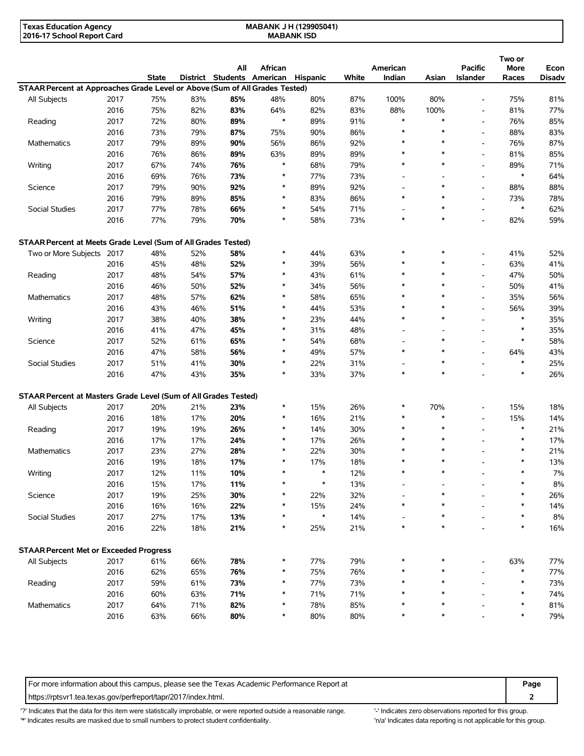| Texas Education Agency     | JH (129905041)<br><b>MABANK J</b> |  |
|----------------------------|-----------------------------------|--|
| 2016-17 School Report Card | <b>MABANK ISD</b>                 |  |

|                                                                             |      | State |     | All<br>District Students American Hispanic | African |        | White | American<br>Indian       | Asian                    | Pacific<br>Islander      | Two or<br>More<br>Races | Econ<br><b>Disadv</b> |
|-----------------------------------------------------------------------------|------|-------|-----|--------------------------------------------|---------|--------|-------|--------------------------|--------------------------|--------------------------|-------------------------|-----------------------|
| STAAR Percent at Approaches Grade Level or Above (Sum of All Grades Tested) |      |       |     |                                            |         |        |       |                          |                          |                          |                         |                       |
| All Subjects                                                                | 2017 | 75%   | 83% | 85%                                        | 48%     | 80%    | 87%   | 100%                     | 80%                      | $\overline{\phantom{a}}$ | 75%                     | 81%                   |
|                                                                             | 2016 | 75%   | 82% | 83%                                        | 64%     | 82%    | 83%   | 88%                      | 100%                     | $\overline{\phantom{a}}$ | 81%                     | 77%                   |
| Reading                                                                     | 2017 | 72%   | 80% | 89%                                        | $\ast$  | 89%    | 91%   | $\ast$                   | $\ast$                   | $\overline{\phantom{a}}$ | 76%                     | 85%                   |
|                                                                             | 2016 | 73%   | 79% | 87%                                        | 75%     | 90%    | 86%   | $\ast$                   | $\ast$                   | $\overline{\phantom{a}}$ | 88%                     | 83%                   |
| Mathematics                                                                 | 2017 | 79%   | 89% | 90%                                        | 56%     | 86%    | 92%   | $\ast$                   | $\ast$                   | $\overline{\phantom{a}}$ | 76%                     | 87%                   |
|                                                                             | 2016 | 76%   | 86% | 89%                                        | 63%     | 89%    | 89%   | $\ast$                   | $\ast$                   | $\overline{\phantom{a}}$ | 81%                     | 85%                   |
| Writing                                                                     | 2017 | 67%   | 74% | 76%                                        | $\ast$  | 68%    | 79%   | $\ast$                   | $\ast$                   | $\overline{\phantom{a}}$ | 89%                     | 71%                   |
|                                                                             | 2016 | 69%   | 76% | 73%                                        | *       | 77%    | 73%   |                          |                          | $\overline{\phantom{a}}$ | $\ast$                  | 64%                   |
| Science                                                                     | 2017 | 79%   | 90% | 92%                                        | *       | 89%    | 92%   | $\overline{\phantom{a}}$ | ∗                        | $\overline{\phantom{a}}$ | 88%                     | 88%                   |
|                                                                             | 2016 | 79%   | 89% | 85%                                        | *       | 83%    | 86%   | $\ast$                   | $\ast$                   | $\overline{\phantom{a}}$ | 73%                     | 78%                   |
| Social Studies                                                              | 2017 | 77%   | 78% | 66%                                        | *       | 54%    | 71%   | $\overline{\phantom{a}}$ | $\ast$                   | $\overline{\phantom{a}}$ | $\ast$                  | 62%                   |
|                                                                             | 2016 | 77%   | 79% | 70%                                        | *       | 58%    | 73%   | $\ast$                   | $\ast$                   | $\overline{\phantom{a}}$ | 82%                     | 59%                   |
| STAAR Percent at Meets Grade Level (Sum of All Grades Tested)               |      |       |     |                                            |         |        |       |                          |                          |                          |                         |                       |
| Two or More Subjects 2017                                                   |      | 48%   | 52% | 58%                                        | *       | 44%    | 63%   | $\ast$                   | $\ast$                   | $\overline{\phantom{a}}$ | 41%                     | 52%                   |
|                                                                             | 2016 | 45%   | 48% | 52%                                        | *       | 39%    | 56%   | $\ast$                   | $\ast$                   | $\overline{\phantom{a}}$ | 63%                     | 41%                   |
| Reading                                                                     | 2017 | 48%   | 54% | 57%                                        | *       | 43%    | 61%   | $\ast$                   | $\ast$                   | $\overline{\phantom{a}}$ | 47%                     | 50%                   |
|                                                                             | 2016 | 46%   | 50% | 52%                                        | $\ast$  | 34%    | 56%   |                          | $\ast$                   | $\overline{a}$           | 50%                     | 41%                   |
| Mathematics                                                                 | 2017 | 48%   | 57% | 62%                                        | *       | 58%    | 65%   | $\ast$                   | $\ast$                   | $\overline{\phantom{a}}$ | 35%                     | 56%                   |
|                                                                             | 2016 | 43%   | 46% | 51%                                        | *       | 44%    | 53%   | $\ast$                   | $\ast$                   | $\overline{\phantom{a}}$ | 56%                     | 39%                   |
| Writing                                                                     | 2017 | 38%   | 40% | 38%                                        | *       | 23%    | 44%   | $\ast$                   | $\ast$                   | $\overline{a}$           | $\ast$                  | 35%                   |
|                                                                             | 2016 | 41%   | 47% | 45%                                        | *       | 31%    | 48%   | $\overline{\phantom{a}}$ | $\overline{\phantom{a}}$ | $\overline{\phantom{a}}$ | $\ast$                  | 35%                   |
| Science                                                                     | 2017 | 52%   | 61% | 65%                                        | *       | 54%    | 68%   | $\overline{\phantom{a}}$ | $\ast$                   | $\overline{a}$           | $\ast$                  | 58%                   |
|                                                                             | 2016 | 47%   | 58% | 56%                                        | *       | 49%    | 57%   | $\ast$                   | $\ast$                   | $\overline{\phantom{a}}$ | 64%                     | 43%                   |
| <b>Social Studies</b>                                                       | 2017 | 51%   | 41% | 30%                                        | *       | 22%    | 31%   |                          | *                        | $\overline{a}$           | $\ast$                  | 25%                   |
|                                                                             | 2016 | 47%   | 43% | 35%                                        | $\ast$  | 33%    | 37%   | $\ast$                   | $\ast$                   |                          | $\ast$                  | 26%                   |
| STAAR Percent at Masters Grade Level (Sum of All Grades Tested)             |      |       |     |                                            |         |        |       |                          |                          |                          |                         |                       |
| All Subjects                                                                | 2017 | 20%   | 21% | 23%                                        | *       | 15%    | 26%   | ∗                        | 70%                      | $\overline{a}$           | 15%                     | 18%                   |
|                                                                             | 2016 | 18%   | 17% | 20%                                        | *       | 16%    | 21%   | $\ast$                   | $\ast$                   | $\overline{a}$           | 15%                     | 14%                   |
| Reading                                                                     | 2017 | 19%   | 19% | 26%                                        | *       | 14%    | 30%   | $\ast$                   | $\ast$                   | $\overline{a}$           | $\ast$                  | 21%                   |
|                                                                             | 2016 | 17%   | 17% | 24%                                        | *       | 17%    | 26%   | $\ast$                   | $\ast$                   | ٠                        | $\ast$                  | 17%                   |
| Mathematics                                                                 | 2017 | 23%   | 27% | 28%                                        | *       | 22%    | 30%   | $\ast$                   | $\ast$                   |                          | $\ast$                  | 21%                   |
|                                                                             | 2016 | 19%   | 18% | 17%                                        | *       | 17%    | 18%   | $\ast$                   | $\ast$                   |                          | $\ast$                  | 13%                   |
| Writing                                                                     | 2017 | 12%   | 11% | 10%                                        | $\ast$  | $\ast$ | 12%   | $\ast$                   | $\ast$                   |                          | $\ast$                  | 7%                    |
|                                                                             | 2016 | 15%   | 17% | 11%                                        |         | $\ast$ | 13%   |                          |                          |                          |                         | $8\%$                 |
| Science                                                                     | 2017 | 19%   | 25% | 30%                                        |         | 22%    | 32%   |                          |                          |                          |                         | 26%                   |
|                                                                             | 2016 | 16%   | 16% | 22%                                        |         | 15%    | 24%   |                          | *                        |                          |                         | 14%                   |
| Social Studies                                                              | 2017 | 27%   | 17% | 13%                                        | *       | $\ast$ | 14%   |                          | $\ast$                   |                          |                         | $8\%$                 |
|                                                                             | 2016 | 22%   | 18% | 21%                                        | $\ast$  | 25%    | 21%   | $\ast$                   | $\ast$                   |                          | $\ast$                  | 16%                   |
| <b>STAAR Percent Met or Exceeded Progress</b>                               |      |       |     |                                            |         |        |       |                          |                          |                          |                         |                       |
| All Subjects                                                                | 2017 | 61%   | 66% | 78%                                        | *       | 77%    | 79%   |                          | ∗                        |                          | 63%                     | 77%                   |
|                                                                             | 2016 | 62%   | 65% | 76%                                        | *       | 75%    | 76%   |                          | ∗                        |                          | $\ast$                  | 77%                   |
| Reading                                                                     | 2017 | 59%   | 61% | 73%                                        | $\ast$  | 77%    | 73%   |                          | *                        |                          | $\ast$                  | 73%                   |
|                                                                             | 2016 | 60%   | 63% | 71%                                        | $\ast$  | 71%    | 71%   |                          | *                        |                          | $\ast$                  | 74%                   |
| Mathematics                                                                 | 2017 | 64%   | 71% | 82%                                        | *       | 78%    | 85%   |                          | *                        |                          | *                       | 81%                   |
|                                                                             | 2016 | 63%   | 66% | 80%                                        | $\ast$  | 80%    | 80%   |                          | *                        |                          |                         | 79%                   |

For more information about this campus, please see the Texas Academic Performance Report at **Page 2016 Page** https://rptsvr1.tea.texas.gov/perfreport/tapr/2017/index.html. **2**

| ۰.<br>× | . .<br>-<br>× | ×<br>$\sim$ |  |
|---------|---------------|-------------|--|
|         |               |             |  |

'?' Indicates that the data for this item were statistically improbable, or were reported outside a reasonable range. "Indicates zero observations reported for this group. \*' Indicates results are masked due to small numbers to protect student confidentiality. Ma' Indicates data reporting is not applicable for this group.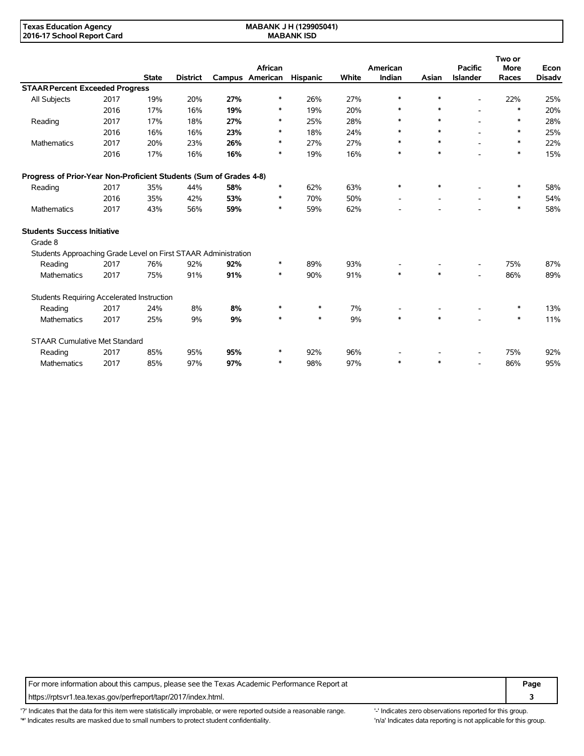**MABANK J H (129905041) MABANK ISD**

|                                                                    |      |              |                 |     |                            |                 |       |                    |        |                                   | Two or               |                       |
|--------------------------------------------------------------------|------|--------------|-----------------|-----|----------------------------|-----------------|-------|--------------------|--------|-----------------------------------|----------------------|-----------------------|
|                                                                    |      | <b>State</b> | <b>District</b> |     | African<br>Campus American | <b>Hispanic</b> | White | American<br>Indian | Asian  | <b>Pacific</b><br><b>Islander</b> | <b>More</b><br>Races | Econ<br><b>Disadv</b> |
| <b>STAAR Percent Exceeded Progress</b>                             |      |              |                 |     |                            |                 |       |                    |        |                                   |                      |                       |
| All Subjects                                                       | 2017 | 19%          | 20%             | 27% | ∗                          | 26%             | 27%   | $\ast$             |        | $\blacksquare$                    | 22%                  | 25%                   |
|                                                                    | 2016 | 17%          | 16%             | 19% | ∗                          | 19%             | 20%   |                    | $\ast$ |                                   | $\ast$               | 20%                   |
| Reading                                                            | 2017 | 17%          | 18%             | 27% | $\ast$                     | 25%             | 28%   | $\ast$             | $*$    |                                   | $\ast$               | 28%                   |
|                                                                    | 2016 | 16%          | 16%             | 23% | $\ast$                     | 18%             | 24%   | $\ast$             | $\ast$ |                                   | $\ast$               | 25%                   |
| <b>Mathematics</b>                                                 | 2017 | 20%          | 23%             | 26% | $\ast$                     | 27%             | 27%   | ∗                  | $\ast$ |                                   | *                    | 22%                   |
|                                                                    | 2016 | 17%          | 16%             | 16% | $\ast$                     | 19%             | 16%   | $\ast$             | $\ast$ |                                   | $\ast$               | 15%                   |
| Progress of Prior-Year Non-Proficient Students (Sum of Grades 4-8) |      |              |                 |     |                            |                 |       |                    |        |                                   |                      |                       |
| Reading                                                            | 2017 | 35%          | 44%             | 58% | $\ast$                     | 62%             | 63%   | $\ast$             |        |                                   | *                    | 58%                   |
|                                                                    | 2016 | 35%          | 42%             | 53% | $\ast$                     | 70%             | 50%   |                    |        |                                   | *                    | 54%                   |
| <b>Mathematics</b>                                                 | 2017 | 43%          | 56%             | 59% | $\ast$                     | 59%             | 62%   |                    |        |                                   | $\ast$               | 58%                   |
| <b>Students Success Initiative</b>                                 |      |              |                 |     |                            |                 |       |                    |        |                                   |                      |                       |
| Grade 8                                                            |      |              |                 |     |                            |                 |       |                    |        |                                   |                      |                       |
| Students Approaching Grade Level on First STAAR Administration     |      |              |                 |     |                            |                 |       |                    |        |                                   |                      |                       |
| Reading                                                            | 2017 | 76%          | 92%             | 92% | $\ast$                     | 89%             | 93%   |                    |        |                                   | 75%                  | 87%                   |
| Mathematics                                                        | 2017 | 75%          | 91%             | 91% | $\ast$                     | 90%             | 91%   | $\ast$             | $\ast$ | $\blacksquare$                    | 86%                  | 89%                   |
| Students Requiring Accelerated Instruction                         |      |              |                 |     |                            |                 |       |                    |        |                                   |                      |                       |
| Reading                                                            | 2017 | 24%          | 8%              | 8%  | *                          | $\ast$          | 7%    |                    |        |                                   | ∗                    | 13%                   |
| Mathematics                                                        | 2017 | 25%          | 9%              | 9%  | $\ast$                     | $\ast$          | 9%    | $\ast$             | $*$    |                                   | $\ast$               | 11%                   |
| <b>STAAR Cumulative Met Standard</b>                               |      |              |                 |     |                            |                 |       |                    |        |                                   |                      |                       |
| Reading                                                            | 2017 | 85%          | 95%             | 95% | *                          | 92%             | 96%   |                    |        | $\overline{\phantom{a}}$          | 75%                  | 92%                   |
| <b>Mathematics</b>                                                 | 2017 | 85%          | 97%             | 97% | ∗                          | 98%             | 97%   | $\ast$             |        | $\overline{a}$                    | 86%                  | 95%                   |

For more information about this campus, please see the Texas Academic Performance Report at **Page Page** https://rptsvr1.tea.texas.gov/perfreport/tapr/2017/index.html. **3**

'?' Indicates that the data for this item were statistically improbable, or were reported outside a reasonable range. '' Indicates zero observations reported for this group. '\*' Indicates results are masked due to small numbers to protect student confidentiality. Ma' Indicates data reporting is not applicable for this group.